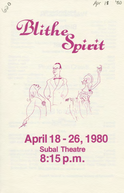

# April 18 - 26, 1980 **Subal Theatre** 8:15 p.m.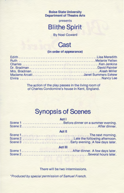#### **Boise State University Department of Theatre Arts**

presents

### **81 it he Spirit**

By Noel Coward

### **Cast**

#### **(in order of appearance)**

| Madame ArcatiJanet Summers Eskew |  |
|----------------------------------|--|
|                                  |  |

The action of the play passes in the living room of of Charles Condomine's house in Kent, England.

### **Synopsis of Scenes Act I**

| Scene 1 Before dinner on a summer evening. |
|--------------------------------------------|
| <b>Act II</b>                              |
|                                            |
|                                            |
|                                            |
| <b>Act III</b>                             |
|                                            |
|                                            |
|                                            |

#### There will be two intermissions.

\*Produced by special permission of Samuel French.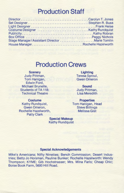### **Production Staff**

| Stage Manager/Assistant Director  Marie Tomlin |  |
|------------------------------------------------|--|
|                                                |  |

### **Production Crews**

**Scenery**  Judy Pittman, Tom Hanigan, Edwin Ford, Michael Brunelle, Students of TA 118: Technical Theatre

**Costume**  Kathy Rundquist, Gwen Omeron, Rochelle Hazelworth, Patty Clark

**Lighting Teresa Sproul,** GwenOmeron

**Sound**  Judy Pittman, Lisa Meredith

**Properties**  Tom Hanigan, Head Steve Billings Melissa Gist

**Special Makeup**  Kathy Rundquist

#### **Special Acknowledgements**

Mike's Americana; Nifty Nineties; Bench Commission; Desert Industries; Betty Jo Horsman, Pauline Bunker; Rochelle Hazelworth: Wendy Thompson; KYME; Gib Hochstrasser; Mrs. Mina Faris; Cheap Chic; Boise Book Farm, 5600 Hill Road.